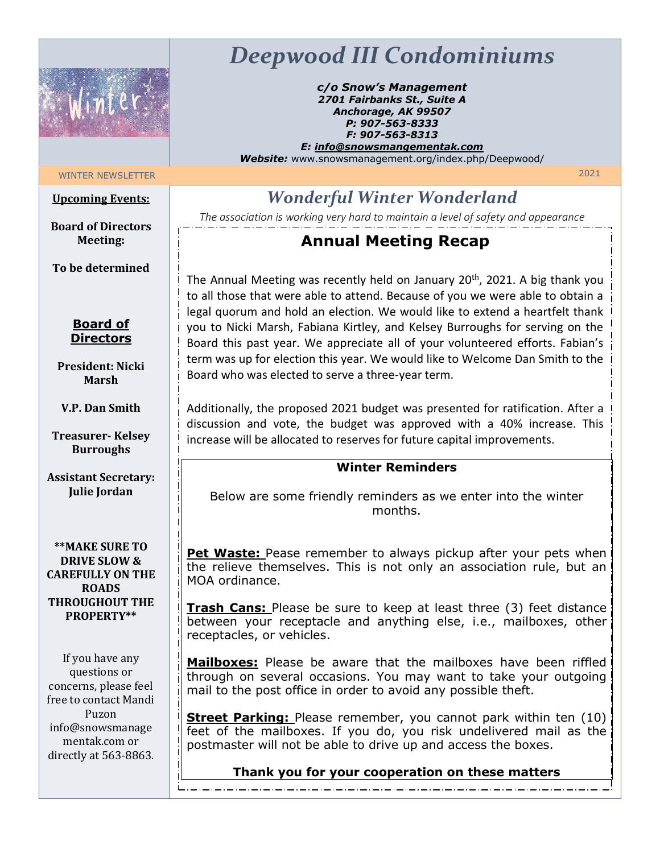

# *Deepwood III Condominiums*

*c/o Snow's Management 2701 Fairbanks St., Suite A Anchorage, AK 99507 P: 907-563-8333 F: 907-563-8313 E: info@snowsmangementak.com*

*Website:* www.snowsmanagement.org/index.php/Deepwood/

# WINTER NEWSLETTER 2021

### **Upcoming Events:**

*Wonderful Winter Wonderland*

**Board of Directors Meeting:**

**To be determined**

**Board of Directors**

**President: Nicki Marsh** 

**V.P. Dan Smith** 

**Treasurer- Kelsey Burroughs**

**Assistant Secretary: Julie Jordan** 

**\*\*MAKE SURE TO DRIVE SLOW & CAREFULLY ON THE ROADS THROUGHOUT THE PROPERTY\*\***

If you have any questions or concerns, please feel free to contact Mandi Puzon info@snowsmanage mentak.com or directly at 563-8863.

*The association is working very hard to maintain a level of safety and appearance*

## **Annual Meeting Recap**

The Annual Meeting was recently held on January 20<sup>th</sup>, 2021. A big thank you to all those that were able to attend. Because of you we were able to obtain a legal quorum and hold an election. We would like to extend a heartfelt thank you to Nicki Marsh, Fabiana Kirtley, and Kelsey Burroughs for serving on the Board this past year. We appreciate all of your volunteered efforts. Fabian's term was up for election this year. We would like to Welcome Dan Smith to the Board who was elected to serve a three-year term.

Additionally, the proposed 2021 budget was presented for ratification. After a discussion and vote, the budget was approved with a 40% increase. This increase will be allocated to reserves for future capital improvements.

### **Winter Reminders**

Below are some friendly reminders as we enter into the winter months.

**Pet Waste:** Pease remember to always pickup after your pets when the relieve themselves. This is not only an association rule, but an MOA ordinance.

**Trash Cans:** Please be sure to keep at least three (3) feet distance between your receptacle and anything else, i.e., mailboxes, other receptacles, or vehicles.

**Mailboxes:** Please be aware that the mailboxes have been riffled through on several occasions. You may want to take your outgoing mail to the post office in order to avoid any possible theft.

**Street Parking:** Please remember, you cannot park within ten (10) feet of the mailboxes. If you do, you risk undelivered mail as the postmaster will not be able to drive up and access the boxes.

**Thank you for your cooperation on these matters**